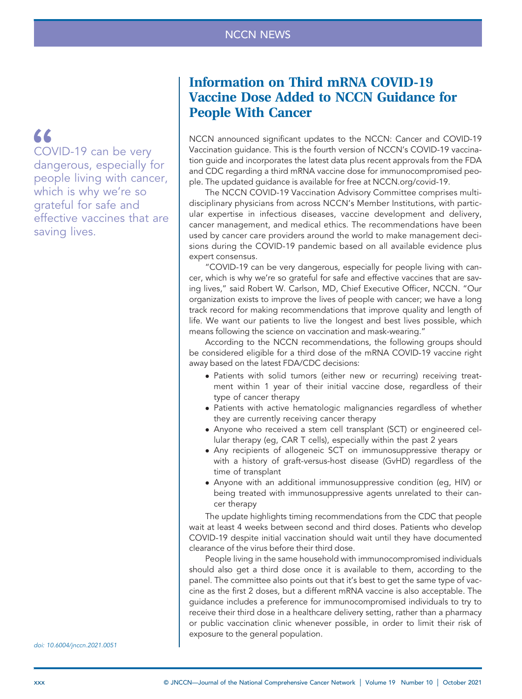66

COVID-19 can be very dangerous, especially for people living with cancer, which is why we're so grateful for safe and effective vaccines that are saving lives.

Information on Third mRNA COVID-19 Vaccine Dose Added to NCCN Guidance for People With Cancer

NCCN announced significant updates to the NCCN: Cancer and COVID-19 Vaccination guidance. This is the fourth version of NCCN's COVID-19 vaccination guide and incorporates the latest data plus recent approvals from the FDA and CDC regarding a third mRNA vaccine dose for immunocompromised people. The updated guidance is available for free at [NCCN.org/covid-19](https://NCCN.org/covid-19).

The NCCN COVID-19 Vaccination Advisory Committee comprises multidisciplinary physicians from across NCCN's Member Institutions, with particular expertise in infectious diseases, vaccine development and delivery, cancer management, and medical ethics. The recommendations have been used by cancer care providers around the world to make management decisions during the COVID-19 pandemic based on all available evidence plus expert consensus.

"COVID-19 can be very dangerous, especially for people living with cancer, which is why we're so grateful for safe and effective vaccines that are saving lives," said Robert W. Carlson, MD, Chief Executive Officer, NCCN. "Our organization exists to improve the lives of people with cancer; we have a long track record for making recommendations that improve quality and length of life. We want our patients to live the longest and best lives possible, which means following the science on vaccination and mask-wearing."

According to the NCCN recommendations, the following groups should be considered eligible for a third dose of the mRNA COVID-19 vaccine right away based on the latest FDA/CDC decisions:

- Patients with solid tumors (either new or recurring) receiving treatment within 1 year of their initial vaccine dose, regardless of their type of cancer therapy
- Patients with active hematologic malignancies regardless of whether they are currently receiving cancer therapy
- Anyone who received a stem cell transplant (SCT) or engineered cellular therapy (eg, CAR T cells), especially within the past 2 years
- Any recipients of allogeneic SCT on immunosuppressive therapy or with a history of graft-versus-host disease (GvHD) regardless of the time of transplant
- Anyone with an additional immunosuppressive condition (eg, HIV) or being treated with immunosuppressive agents unrelated to their cancer therapy

The update highlights timing recommendations from the CDC that people wait at least 4 weeks between second and third doses. Patients who develop COVID-19 despite initial vaccination should wait until they have documented clearance of the virus before their third dose.

People living in the same household with immunocompromised individuals should also get a third dose once it is available to them, according to the panel. The committee also points out that it's best to get the same type of vaccine as the first 2 doses, but a different mRNA vaccine is also acceptable. The guidance includes a preference for immunocompromised individuals to try to receive their third dose in a healthcare delivery setting, rather than a pharmacy or public vaccination clinic whenever possible, in order to limit their risk of exposure to the general population.

doi: 10.6004/jnccn.2021.0051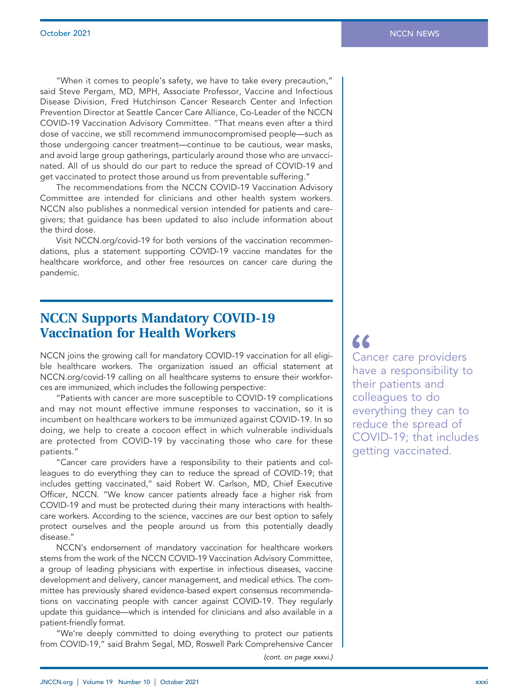"When it comes to people's safety, we have to take every precaution," said Steve Pergam, MD, MPH, Associate Professor, Vaccine and Infectious Disease Division, Fred Hutchinson Cancer Research Center and Infection Prevention Director at Seattle Cancer Care Alliance, Co-Leader of the NCCN COVID-19 Vaccination Advisory Committee. "That means even after a third dose of vaccine, we still recommend immunocompromised people—such as those undergoing cancer treatment—continue to be cautious, wear masks, and avoid large group gatherings, particularly around those who are unvaccinated. All of us should do our part to reduce the spread of COVID-19 and get vaccinated to protect those around us from preventable suffering."

The recommendations from the NCCN COVID-19 Vaccination Advisory Committee are intended for clinicians and other health system workers. NCCN also publishes a nonmedical version intended for patients and caregivers; that guidance has been updated to also include information about the third dose.

Visit [NCCN.org/covid-19](https://NCCN.org/covid-19) for both versions of the vaccination recommendations, plus a statement supporting COVID-19 vaccine mandates for the healthcare workforce, and other free resources on cancer care during the pandemic.

## NCCN Supports Mandatory COVID-19 Vaccination for Health Workers

NCCN joins the growing call for mandatory COVID-19 vaccination for all eligible healthcare workers. The organization issued an official statement at [NCCN.org/covid-19](https://NCCN.org/covid-19) calling on all healthcare systems to ensure their workforces are immunized, which includes the following perspective:

"Patients with cancer are more susceptible to COVID-19 complications and may not mount effective immune responses to vaccination, so it is incumbent on healthcare workers to be immunized against COVID-19. In so doing, we help to create a cocoon effect in which vulnerable individuals are protected from COVID-19 by vaccinating those who care for these patients."

"Cancer care providers have a responsibility to their patients and colleagues to do everything they can to reduce the spread of COVID-19; that includes getting vaccinated," said Robert W. Carlson, MD, Chief Executive Officer, NCCN. "We know cancer patients already face a higher risk from COVID-19 and must be protected during their many interactions with healthcare workers. According to the science, vaccines are our best option to safely protect ourselves and the people around us from this potentially deadly disease."

NCCN's endorsement of mandatory vaccination for healthcare workers stems from the work of the NCCN COVID-19 Vaccination Advisory Committee, a group of leading physicians with expertise in infectious diseases, vaccine development and delivery, cancer management, and medical ethics. The committee has previously shared evidence-based expert consensus recommendations on vaccinating people with cancer against COVID-19. They regularly update this guidance—which is intended for clinicians and also available in a patient-friendly format.

"We're deeply committed to doing everything to protect our patients from COVID-19," said Brahm Segal, MD, Roswell Park Comprehensive Cancer

(cont. on page xxxvi.)

66

Cancer care providers have a responsibility to their patients and colleagues to do everything they can to reduce the spread of COVID-19; that includes getting vaccinated.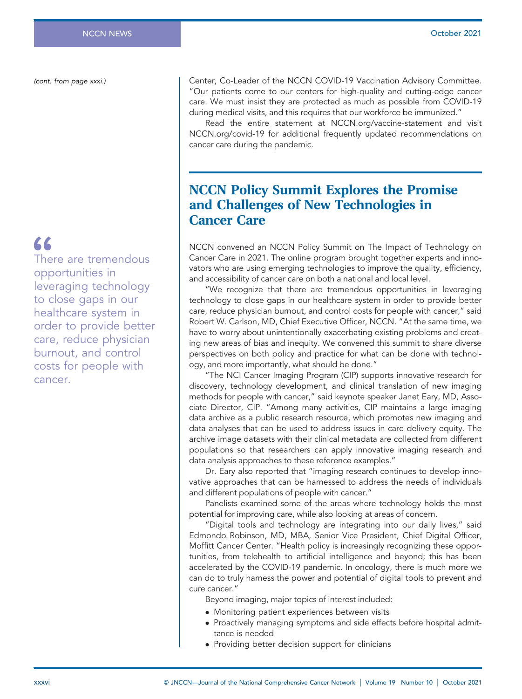(cont. from page xxxi.)

# 66

There are tremendous opportunities in leveraging technology to close gaps in our healthcare system in order to provide better care, reduce physician burnout, and control costs for people with cancer.

Center, Co-Leader of the NCCN COVID-19 Vaccination Advisory Committee. "Our patients come to our centers for high-quality and cutting-edge cancer care. We must insist they are protected as much as possible from COVID-19 during medical visits, and this requires that our workforce be immunized."

Read the entire statement at [NCCN.org/](https://NCCN.org)vaccine-statement and visit [NCCN.org/covid-19](https://NCCN.org/covid-19) for additional frequently updated recommendations on cancer care during the pandemic.

# NCCN Policy Summit Explores the Promise and Challenges of New Technologies in Cancer Care

NCCN convened an NCCN Policy Summit on The Impact of Technology on Cancer Care in 2021. The online program brought together experts and innovators who are using emerging technologies to improve the quality, efficiency, and accessibility of cancer care on both a national and local level.

"We recognize that there are tremendous opportunities in leveraging technology to close gaps in our healthcare system in order to provide better care, reduce physician burnout, and control costs for people with cancer," said Robert W. Carlson, MD, Chief Executive Officer, NCCN. "At the same time, we have to worry about unintentionally exacerbating existing problems and creating new areas of bias and inequity. We convened this summit to share diverse perspectives on both policy and practice for what can be done with technology, and more importantly, what should be done."

"The NCI Cancer Imaging Program (CIP) supports innovative research for discovery, technology development, and clinical translation of new imaging methods for people with cancer," said keynote speaker Janet Eary, MD, Associate Director, CIP. "Among many activities, CIP maintains a large imaging data archive as a public research resource, which promotes new imaging and data analyses that can be used to address issues in care delivery equity. The archive image datasets with their clinical metadata are collected from different populations so that researchers can apply innovative imaging research and data analysis approaches to these reference examples."

Dr. Eary also reported that "imaging research continues to develop innovative approaches that can be harnessed to address the needs of individuals and different populations of people with cancer."

Panelists examined some of the areas where technology holds the most potential for improving care, while also looking at areas of concern.

"Digital tools and technology are integrating into our daily lives," said Edmondo Robinson, MD, MBA, Senior Vice President, Chief Digital Officer, Moffitt Cancer Center. "Health policy is increasingly recognizing these opportunities, from telehealth to artificial intelligence and beyond; this has been accelerated by the COVID-19 pandemic. In oncology, there is much more we can do to truly harness the power and potential of digital tools to prevent and cure cancer."

Beyond imaging, major topics of interest included:

- Monitoring patient experiences between visits
- Proactively managing symptoms and side effects before hospital admittance is needed
- Providing better decision support for clinicians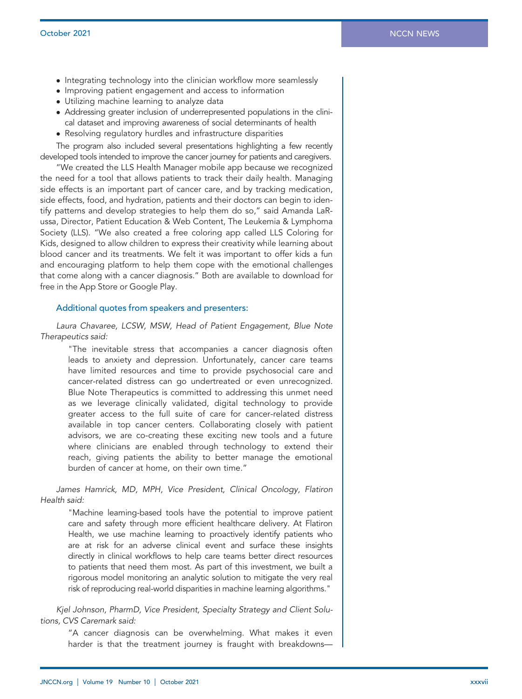- Integrating technology into the clinician workflow more seamlessly
- Improving patient engagement and access to information
- Utilizing machine learning to analyze data
- Addressing greater inclusion of underrepresented populations in the clinical dataset and improving awareness of social determinants of health
- Resolving regulatory hurdles and infrastructure disparities

The program also included several presentations highlighting a few recently developed tools intended to improve the cancer journey for patients and caregivers.

"We created the LLS Health Manager mobile app because we recognized the need for a tool that allows patients to track their daily health. Managing side effects is an important part of cancer care, and by tracking medication, side effects, food, and hydration, patients and their doctors can begin to identify patterns and develop strategies to help them do so," said Amanda LaRussa, Director, Patient Education & Web Content, The Leukemia & Lymphoma Society (LLS). "We also created a free coloring app called LLS Coloring for Kids, designed to allow children to express their creativity while learning about blood cancer and its treatments. We felt it was important to offer kids a fun and encouraging platform to help them cope with the emotional challenges that come along with a cancer diagnosis." Both are available to download for free in the App Store or Google Play.

#### Additional quotes from speakers and presenters:

Laura Chavaree, LCSW, MSW, Head of Patient Engagement, Blue Note Therapeutics said:

"The inevitable stress that accompanies a cancer diagnosis often leads to anxiety and depression. Unfortunately, cancer care teams have limited resources and time to provide psychosocial care and cancer-related distress can go undertreated or even unrecognized. Blue Note Therapeutics is committed to addressing this unmet need as we leverage clinically validated, digital technology to provide greater access to the full suite of care for cancer-related distress available in top cancer centers. Collaborating closely with patient advisors, we are co-creating these exciting new tools and a future where clinicians are enabled through technology to extend their reach, giving patients the ability to better manage the emotional burden of cancer at home, on their own time."

James Hamrick, MD, MPH, Vice President, Clinical Oncology, Flatiron Health said:

"Machine learning-based tools have the potential to improve patient care and safety through more efficient healthcare delivery. At Flatiron Health, we use machine learning to proactively identify patients who are at risk for an adverse clinical event and surface these insights directly in clinical workflows to help care teams better direct resources to patients that need them most. As part of this investment, we built a rigorous model monitoring an analytic solution to mitigate the very real risk of reproducing real-world disparities in machine learning algorithms."

Kjel Johnson, PharmD, Vice President, Specialty Strategy and Client Solutions, CVS Caremark said:

"A cancer diagnosis can be overwhelming. What makes it even harder is that the treatment journey is fraught with breakdowns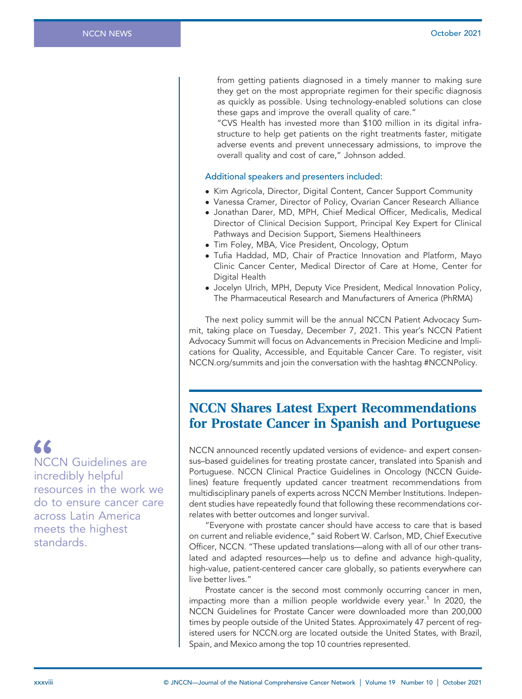from getting patients diagnosed in a timely manner to making sure they get on the most appropriate regimen for their specific diagnosis as quickly as possible. Using technology-enabled solutions can close these gaps and improve the overall quality of care."

"CVS Health has invested more than \$100 million in its digital infrastructure to help get patients on the right treatments faster, mitigate adverse events and prevent unnecessary admissions, to improve the overall quality and cost of care," Johnson added.

#### Additional speakers and presenters included:

- Kim Agricola, Director, Digital Content, Cancer Support Community
- Vanessa Cramer, Director of Policy, Ovarian Cancer Research Alliance
- Jonathan Darer, MD, MPH, Chief Medical Officer, Medicalis, Medical Director of Clinical Decision Support, Principal Key Expert for Clinical Pathways and Decision Support, Siemens Healthineers
- Tim Foley, MBA, Vice President, Oncology, Optum
- Tufia Haddad, MD, Chair of Practice Innovation and Platform, Mayo Clinic Cancer Center, Medical Director of Care at Home, Center for Digital Health
- Jocelyn Ulrich, MPH, Deputy Vice President, Medical Innovation Policy, The Pharmaceutical Research and Manufacturers of America (PhRMA)

The next policy summit will be the annual NCCN Patient Advocacy Summit, taking place on Tuesday, December 7, 2021. This year's NCCN Patient Advocacy Summit will focus on Advancements in Precision Medicine and Implications for Quality, Accessible, and Equitable Cancer Care. To register, visit [NCCN.org/](https://NCCN.org)summits and join the conversation with the hashtag #NCCNPolicy.

### NCCN Shares Latest Expert Recommendations for Prostate Cancer in Spanish and Portuguese

NCCN announced recently updated versions of evidence- and expert consensus–based guidelines for treating prostate cancer, translated into Spanish and Portuguese. NCCN Clinical Practice Guidelines in Oncology (NCCN Guidelines) feature frequently updated cancer treatment recommendations from multidisciplinary panels of experts across NCCN Member Institutions. Independent studies have repeatedly found that following these recommendations correlates with better outcomes and longer survival.

"Everyone with prostate cancer should have access to care that is based on current and reliable evidence," said Robert W. Carlson, MD, Chief Executive Officer, NCCN. "These updated translations—along with all of our other translated and adapted resources—help us to define and advance high-quality, high-value, patient-centered cancer care globally, so patients everywhere can live better lives."

Prostate cancer is the second most commonly occurring cancer in men, impacting more than a million people worldwide every year.<sup>1</sup> In 2020, the NCCN Guidelines for Prostate Cancer were downloaded more than 200,000 times by people outside of the United States. Approximately 47 percent of registered users for [NCCN.org](https://NCCN.org) are located outside the United States, with Brazil, Spain, and Mexico among the top 10 countries represented.

 $\epsilon$ NCCN Guidelines are incredibly helpful

resources in the work we do to ensure cancer care across Latin America meets the highest standards.